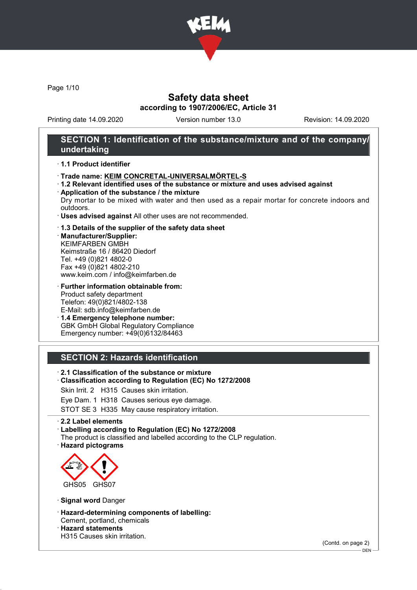

Page 1/10

### Safety data sheet according to 1907/2006/EC, Article 31

Printing date 14.09.2020 Version number 13.0 Revision: 14.09.2020

### SECTION 1: Identification of the substance/mixture and of the company/ undertaking

#### · 1.1 Product identifier

- · Trade name: KEIM CONCRETAL-UNIVERSALMÖRTEL-S
- · 1.2 Relevant identified uses of the substance or mixture and uses advised against
- · Application of the substance / the mixture Dry mortar to be mixed with water and then used as a repair mortar for concrete indoors and outdoors.
- · Uses advised against All other uses are not recommended.

#### · 1.3 Details of the supplier of the safety data sheet

· Manufacturer/Supplier: KEIMFARBEN GMBH Keimstraße 16 / 86420 Diedorf Tel. +49 (0)821 4802-0 Fax +49 (0)821 4802-210 www.keim.com / info@keimfarben.de

· Further information obtainable from: Product safety department Telefon: 49(0)821/4802-138 E-Mail: sdb.info@keimfarben.de

· 1.4 Emergency telephone number: GBK GmbH Global Regulatory Compliance Emergency number: +49(0)6132/84463

### SECTION 2: Hazards identification

- · 2.1 Classification of the substance or mixture
- · Classification according to Regulation (EC) No 1272/2008
- Skin Irrit. 2 H315 Causes skin irritation.
- Eye Dam. 1 H318 Causes serious eye damage.

STOT SE 3 H335 May cause respiratory irritation.

#### · 2.2 Label elements

· Labelling according to Regulation (EC) No 1272/2008

- The product is classified and labelled according to the CLP regulation.
- · Hazard pictograms



- · Signal word Danger
- · Hazard-determining components of labelling: Cement, portland, chemicals

· Hazard statements

H315 Causes skin irritation.

(Contd. on page 2)

<sup>-</sup> DEN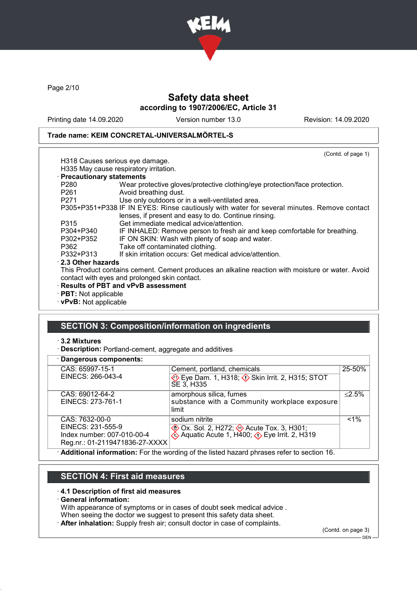

Page 2/10

### Safety data sheet according to 1907/2006/EC, Article 31

Printing date 14.09.2020 Version number 13.0 Revision: 14.09.2020

### Trade name: KEIM CONCRETAL-UNIVERSALMÖRTEL-S

|                             | (Contd. of page 1)                                                                                                                                 |
|-----------------------------|----------------------------------------------------------------------------------------------------------------------------------------------------|
|                             | H318 Causes serious eye damage.                                                                                                                    |
|                             | H335 May cause respiratory irritation.                                                                                                             |
| · Precautionary statements  |                                                                                                                                                    |
| P280                        | Wear protective gloves/protective clothing/eye protection/face protection.                                                                         |
| P261                        | Avoid breathing dust.                                                                                                                              |
| P271 and the P271           | Use only outdoors or in a well-ventilated area.                                                                                                    |
|                             | P305+P351+P338 IF IN EYES: Rinse cautiously with water for several minutes. Remove contact<br>lenses, if present and easy to do. Continue rinsing. |
| P315                        | Get immediate medical advice/attention.                                                                                                            |
| P304+P340                   | IF INHALED: Remove person to fresh air and keep comfortable for breathing.                                                                         |
| P302+P352                   | IF ON SKIN: Wash with plenty of soap and water.                                                                                                    |
| P362                        | Take off contaminated clothing.                                                                                                                    |
| P332+P313                   | If skin irritation occurs: Get medical advice/attention.                                                                                           |
| 2.3 Other hazards           |                                                                                                                                                    |
|                             | This Product contains cement. Cement produces an alkaline reaction with moisture or water. Avoid                                                   |
|                             | contact with eyes and prolonged skin contact.                                                                                                      |
|                             | · Results of PBT and vPvB assessment                                                                                                               |
| $\cdot$ PBT: Not applicable |                                                                                                                                                    |
| · vPvB: Not applicable      |                                                                                                                                                    |

# SECTION 3: Composition/information on ingredients

#### · 3.2 Mixtures

· Description: Portland-cement, aggregate and additives

| · Dangerous components:        |                                                                                           |           |
|--------------------------------|-------------------------------------------------------------------------------------------|-----------|
| CAS: 65997-15-1                | Cement, portland, chemicals                                                               | 25-50%    |
| EINECS: 266-043-4              | Eye Dam. 1, H318; $\Diamond$ Skin Irrit. 2, H315; STOT<br>SE 3, H335                      |           |
| CAS: 69012-64-2                | amorphous silica, fumes                                                                   | $< 2.5\%$ |
| EINECS: 273-761-1              | substance with a Community workplace exposure                                             |           |
|                                | limit                                                                                     |           |
| CAS: 7632-00-0                 | sodium nitrite                                                                            | $1\%$     |
| EINECS: 231-555-9              | <b>EXAMPLE 70 ACUTE TOX. 3, H301;</b>                                                     |           |
| Index number: 007-010-00-4     | $\&$ Aquatic Acute 1, H400; $\&$ Eye Irrit. 2, H319                                       |           |
| Reg.nr.: 01-2119471836-27-XXXX |                                                                                           |           |
|                                | Additional information: For the wording of the listed hazard phrases refer to section 16. |           |

### SECTION 4: First aid measures

#### · 4.1 Description of first aid measures

· General information:

With appearance of symptoms or in cases of doubt seek medical advice .

When seeing the doctor we suggest to present this safety data sheet.

· After inhalation: Supply fresh air; consult doctor in case of complaints.

(Contd. on page 3) DEN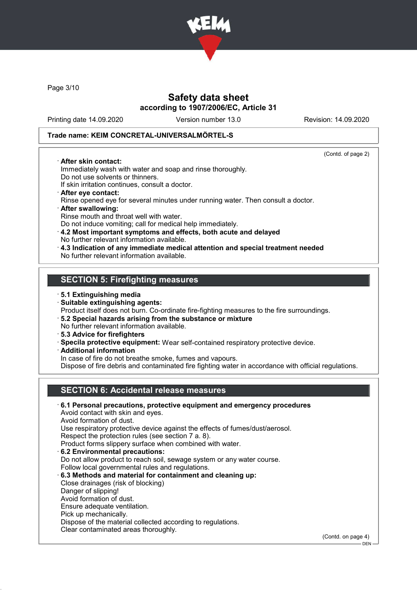

Page 3/10

### Safety data sheet according to 1907/2006/EC, Article 31

Printing date 14.09.2020 Version number 13.0 Revision: 14.09.2020

(Contd. of page 2)

#### Trade name: KEIM CONCRETAL-UNIVERSALMÖRTEL-S

#### · After skin contact:

Immediately wash with water and soap and rinse thoroughly. Do not use solvents or thinners.

If skin irritation continues, consult a doctor.

- · After eye contact: Rinse opened eye for several minutes under running water. Then consult a doctor. · After swallowing:
- Rinse mouth and throat well with water.
- Do not induce vomiting; call for medical help immediately.
- · 4.2 Most important symptoms and effects, both acute and delayed
- No further relevant information available.
- · 4.3 Indication of any immediate medical attention and special treatment needed No further relevant information available.

### SECTION 5: Firefighting measures

#### · 5.1 Extinguishing media

· Suitable extinguishing agents:

Product itself does not burn. Co-ordinate fire-fighting measures to the fire surroundings.

- · 5.2 Special hazards arising from the substance or mixture
- No further relevant information available.
- · 5.3 Advice for firefighters
- · Specila protective equipment: Wear self-contained respiratory protective device.
- · Additional information

In case of fire do not breathe smoke, fumes and vapours.

Dispose of fire debris and contaminated fire fighting water in accordance with official regulations.

## SECTION 6: Accidental release measures

· 6.1 Personal precautions, protective equipment and emergency procedures Avoid contact with skin and eyes. Avoid formation of dust. Use respiratory protective device against the effects of fumes/dust/aerosol. Respect the protection rules (see section 7 a. 8). Product forms slippery surface when combined with water. · 6.2 Environmental precautions: Do not allow product to reach soil, sewage system or any water course. Follow local governmental rules and regulations. · 6.3 Methods and material for containment and cleaning up: Close drainages (risk of blocking) Danger of slipping! Avoid formation of dust. Ensure adequate ventilation. Pick up mechanically. Dispose of the material collected according to regulations. Clear contaminated areas thoroughly. (Contd. on page 4)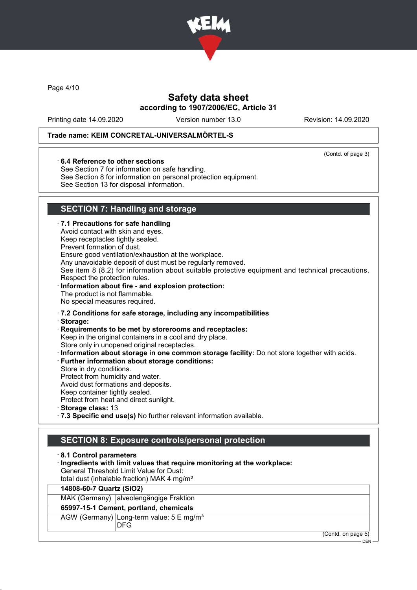

Page 4/10

# Safety data sheet according to 1907/2006/EC, Article 31

Printing date 14.09.2020 Version number 13.0 Revision: 14.09.2020

(Contd. of page 3)

#### Trade name: KEIM CONCRETAL-UNIVERSALMÖRTEL-S

#### · 6.4 Reference to other sections

See Section 7 for information on safe handling.

See Section 8 for information on personal protection equipment.

See Section 13 for disposal information.

# SECTION 7: Handling and storage

DFG

| 7.1 Precautions for safe handling<br>Avoid contact with skin and eyes.<br>Keep receptacles tightly sealed.<br>Prevent formation of dust.<br>Ensure good ventilation/exhaustion at the workplace.<br>Any unavoidable deposit of dust must be regularly removed.<br>See item 8 (8.2) for information about suitable protective equipment and technical precautions.<br>Respect the protection rules.<br>Information about fire - and explosion protection:<br>The product is not flammable.<br>No special measures required. |
|----------------------------------------------------------------------------------------------------------------------------------------------------------------------------------------------------------------------------------------------------------------------------------------------------------------------------------------------------------------------------------------------------------------------------------------------------------------------------------------------------------------------------|
| 7.2 Conditions for safe storage, including any incompatibilities                                                                                                                                                                                                                                                                                                                                                                                                                                                           |
| · Storage:                                                                                                                                                                                                                                                                                                                                                                                                                                                                                                                 |
| Requirements to be met by storerooms and receptacles:<br>Keep in the original containers in a cool and dry place.                                                                                                                                                                                                                                                                                                                                                                                                          |
| Store only in unopened original receptacles.                                                                                                                                                                                                                                                                                                                                                                                                                                                                               |
| Information about storage in one common storage facility: Do not store together with acids.                                                                                                                                                                                                                                                                                                                                                                                                                                |
| <b>Further information about storage conditions:</b>                                                                                                                                                                                                                                                                                                                                                                                                                                                                       |
| Store in dry conditions.<br>Protect from humidity and water.                                                                                                                                                                                                                                                                                                                                                                                                                                                               |
| Avoid dust formations and deposits.                                                                                                                                                                                                                                                                                                                                                                                                                                                                                        |
| Keep container tightly sealed.                                                                                                                                                                                                                                                                                                                                                                                                                                                                                             |
| Protect from heat and direct sunlight.                                                                                                                                                                                                                                                                                                                                                                                                                                                                                     |
| Storage class: 13                                                                                                                                                                                                                                                                                                                                                                                                                                                                                                          |
| .7.3 Specific end use(s) No further relevant information available.                                                                                                                                                                                                                                                                                                                                                                                                                                                        |
|                                                                                                                                                                                                                                                                                                                                                                                                                                                                                                                            |
| <b>SECTION 8: Exposure controls/personal protection</b>                                                                                                                                                                                                                                                                                                                                                                                                                                                                    |
| 8.1 Control parameters                                                                                                                                                                                                                                                                                                                                                                                                                                                                                                     |
| Ingredients with limit values that require monitoring at the workplace:                                                                                                                                                                                                                                                                                                                                                                                                                                                    |
| <b>General Threshold Limit Value for Dust:</b>                                                                                                                                                                                                                                                                                                                                                                                                                                                                             |
| total dust (inhalable fraction) MAK 4 mg/m <sup>3</sup>                                                                                                                                                                                                                                                                                                                                                                                                                                                                    |
| 14808-60-7 Quartz (SiO2)                                                                                                                                                                                                                                                                                                                                                                                                                                                                                                   |
| MAK (Germany) alveolengängige Fraktion                                                                                                                                                                                                                                                                                                                                                                                                                                                                                     |
| 65997-15-1 Cement, portland, chemicals                                                                                                                                                                                                                                                                                                                                                                                                                                                                                     |
| AGW (Germany) Long-term value: 5 E mg/m <sup>3</sup>                                                                                                                                                                                                                                                                                                                                                                                                                                                                       |

(Contd. on page 5)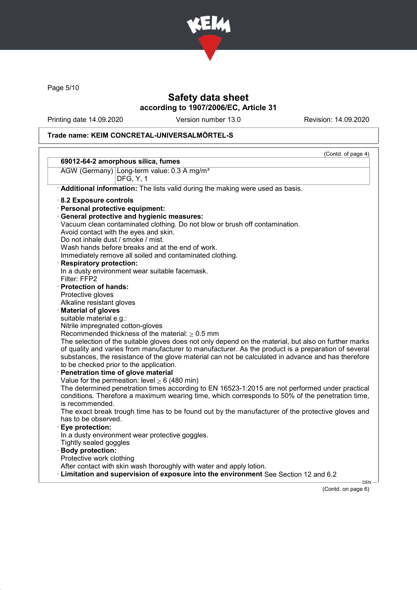

Page 5/10

### Safety data sheet according to 1907/2006/EC, Article 31

Printing date 14.09.2020 Version number 13.0 Revision: 14.09.2020

### Trade name: KEIM CONCRETAL-UNIVERSALMÖRTEL-S

|                                                                                                      | (Contd. of page 4) |
|------------------------------------------------------------------------------------------------------|--------------------|
| 69012-64-2 amorphous silica, fumes                                                                   |                    |
| AGW (Germany) Long-term value: 0.3 A mg/m <sup>3</sup><br><b>DFG, Y, 1</b>                           |                    |
| Additional information: The lists valid during the making were used as basis.                        |                    |
| 8.2 Exposure controls                                                                                |                    |
| · Personal protective equipment:                                                                     |                    |
| · General protective and hygienic measures:                                                          |                    |
| Vacuum clean contaminated clothing. Do not blow or brush off contamination.                          |                    |
| Avoid contact with the eyes and skin.                                                                |                    |
| Do not inhale dust / smoke / mist.                                                                   |                    |
| Wash hands before breaks and at the end of work.                                                     |                    |
| Immediately remove all soiled and contaminated clothing.                                             |                    |
| <b>Respiratory protection:</b>                                                                       |                    |
| In a dusty environment wear suitable facemask.                                                       |                    |
| Filter: FFP2                                                                                         |                    |
| · Protection of hands:                                                                               |                    |
| Protective gloves                                                                                    |                    |
| Alkaline resistant gloves                                                                            |                    |
| <b>Material of gloves</b>                                                                            |                    |
| suitable material e.g.:                                                                              |                    |
| Nitrile impregnated cotton-gloves                                                                    |                    |
| Recommended thickness of the material: $\geq 0.5$ mm                                                 |                    |
| The selection of the suitable gloves does not only depend on the material, but also on further marks |                    |
| of quality and varies from manufacturer to manufacturer. As the product is a preparation of several  |                    |
| substances, the resistance of the glove material can not be calculated in advance and has therefore  |                    |
| to be checked prior to the application.                                                              |                    |
| Penetration time of glove material                                                                   |                    |
| Value for the permeation: level $\geq 6$ (480 min)                                                   |                    |
| The determined penetration times according to EN 16523-1:2015 are not performed under practical      |                    |
| conditions. Therefore a maximum wearing time, which corresponds to 50% of the penetration time,      |                    |
| is recommended.                                                                                      |                    |
| The exact break trough time has to be found out by the manufacturer of the protective gloves and     |                    |
| has to be observed.                                                                                  |                    |
| Eye protection:                                                                                      |                    |
| In a dusty environment wear protective goggles.                                                      |                    |
| Tightly sealed goggles                                                                               |                    |
| <b>Body protection:</b>                                                                              |                    |
| Protective work clothing                                                                             |                    |
| After contact with skin wash thoroughly with water and apply lotion.                                 |                    |
| Limitation and supervision of exposure into the environment See Section 12 and 6.2                   |                    |

(Contd. on page 6)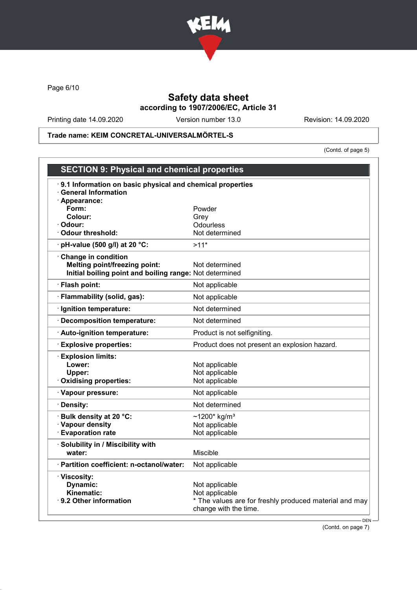

Page 6/10

### Safety data sheet according to 1907/2006/EC, Article 31

Printing date 14.09.2020 Version number 13.0 Revision: 14.09.2020

Trade name: KEIM CONCRETAL-UNIVERSALMÖRTEL-S

(Contd. of page 5)

| <b>SECTION 9: Physical and chemical properties</b>                                                                     |                                                                                 |
|------------------------------------------------------------------------------------------------------------------------|---------------------------------------------------------------------------------|
| 9.1 Information on basic physical and chemical properties<br><b>General Information</b>                                |                                                                                 |
| · Appearance:                                                                                                          |                                                                                 |
| Form:                                                                                                                  | Powder                                                                          |
| Colour:<br>· Odour:                                                                                                    | Grey<br><b>Odourless</b>                                                        |
| <b>Odour threshold:</b>                                                                                                | Not determined                                                                  |
| pH-value (500 g/l) at 20 °C:                                                                                           | $>11*$                                                                          |
|                                                                                                                        |                                                                                 |
| Change in condition<br><b>Melting point/freezing point:</b><br>Initial boiling point and boiling range: Not determined | Not determined                                                                  |
| · Flash point:                                                                                                         | Not applicable                                                                  |
| · Flammability (solid, gas):                                                                                           | Not applicable                                                                  |
| · Ignition temperature:                                                                                                | Not determined                                                                  |
| · Decomposition temperature:                                                                                           | Not determined                                                                  |
| · Auto-ignition temperature:                                                                                           | Product is not selfigniting.                                                    |
| <b>Explosive properties:</b>                                                                                           | Product does not present an explosion hazard.                                   |
| <b>Explosion limits:</b>                                                                                               |                                                                                 |
| Lower:                                                                                                                 | Not applicable                                                                  |
| Upper:                                                                                                                 | Not applicable                                                                  |
| Oxidising properties:                                                                                                  | Not applicable                                                                  |
| · Vapour pressure:                                                                                                     | Not applicable                                                                  |
| · Density:                                                                                                             | Not determined                                                                  |
| Bulk density at 20 °C:                                                                                                 | ~1200* kg/m <sup>3</sup>                                                        |
| · Vapour density                                                                                                       | Not applicable                                                                  |
| <b>Evaporation rate</b>                                                                                                | Not applicable                                                                  |
| · Solubility in / Miscibility with                                                                                     |                                                                                 |
| water:                                                                                                                 | Miscible                                                                        |
| · Partition coefficient: n-octanol/water:                                                                              | Not applicable                                                                  |
| · Viscosity:                                                                                                           |                                                                                 |
| Dynamic:                                                                                                               | Not applicable                                                                  |
| Kinematic:                                                                                                             | Not applicable                                                                  |
| · 9.2 Other information                                                                                                | * The values are for freshly produced material and may<br>change with the time. |
|                                                                                                                        | $DEN -$                                                                         |

(Contd. on page 7)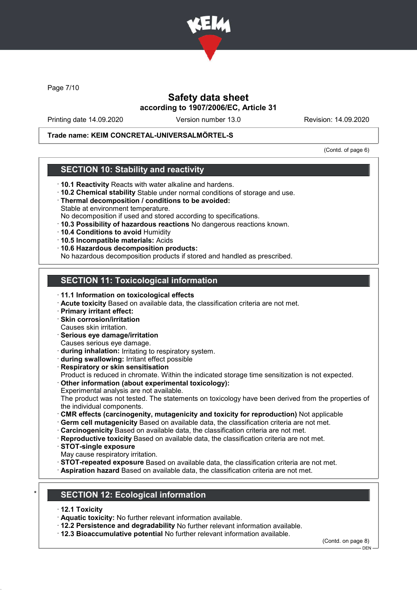

Page 7/10

### Safety data sheet according to 1907/2006/EC, Article 31

Printing date 14.09.2020 Version number 13.0 Revision: 14.09.2020

#### Trade name: KEIM CONCRETAL-UNIVERSALMÖRTEL-S

(Contd. of page 6)

### SECTION 10: Stability and reactivity

- · 10.1 Reactivity Reacts with water alkaline and hardens.
- · 10.2 Chemical stability Stable under normal conditions of storage and use.
- · Thermal decomposition / conditions to be avoided: Stable at environment temperature.
- No decomposition if used and stored according to specifications.
- · 10.3 Possibility of hazardous reactions No dangerous reactions known.
- · 10.4 Conditions to avoid Humidity
- · 10.5 Incompatible materials: Acids
- · 10.6 Hazardous decomposition products:

No hazardous decomposition products if stored and handled as prescribed.

### SECTION 11: Toxicological information

- · 11.1 Information on toxicological effects
- · Acute toxicity Based on available data, the classification criteria are not met.
- · Primary irritant effect:
- · Skin corrosion/irritation
- Causes skin irritation.
- · Serious eye damage/irritation
- Causes serious eye damage.
- · during inhalation: Irritating to respiratory system.
- · during swallowing: Irritant effect possible
- · Respiratory or skin sensitisation

Product is reduced in chromate. Within the indicated storage time sensitization is not expected.

· Other information (about experimental toxicology): Experimental analysis are not available.

The product was not tested. The statements on toxicology have been derived from the properties of the individual components.

- · CMR effects (carcinogenity, mutagenicity and toxicity for reproduction) Not applicable
- · Germ cell mutagenicity Based on available data, the classification criteria are not met.
- · Carcinogenicity Based on available data, the classification criteria are not met.
- · Reproductive toxicity Based on available data, the classification criteria are not met.
- · STOT-single exposure
- May cause respiratory irritation.
- **STOT-repeated exposure** Based on available data, the classification criteria are not met.
- · Aspiration hazard Based on available data, the classification criteria are not met.

# **SECTION 12: Ecological information**

- · 12.1 Toxicity
- · Aquatic toxicity: No further relevant information available.
- · 12.2 Persistence and degradability No further relevant information available.
- · 12.3 Bioaccumulative potential No further relevant information available.

(Contd. on page 8)

 $-$  DEN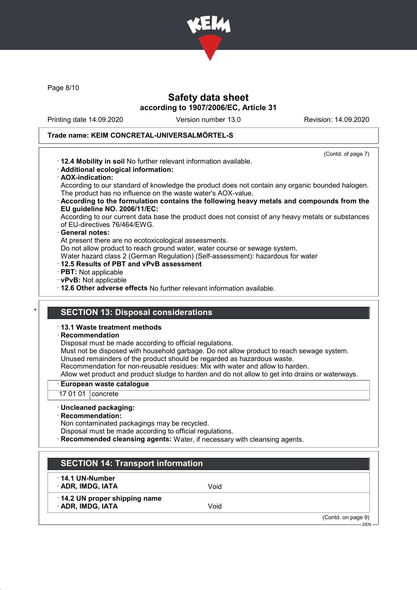

Page 8/10

### Safety data sheet according to 1907/2006/EC, Article 31

Printing date 14.09.2020 Version number 13.0 Revision: 14.09.2020

(Contd. of page 7)

#### Trade name: KEIM CONCRETAL-UNIVERSALMÖRTEL-S

- · 12.4 Mobility in soil No further relevant information available.
- · Additional ecological information:
- · AOX-indication:

According to our standard of knowledge the product does not contain any organic bounded halogen. The product has no influence on the waste water's AOX-value.

· According to the formulation contains the following heavy metals and compounds from the EU guideline NO. 2006/11/EC:

According to our current data base the product does not consist of any heavy metals or substances of EU-directives 76/464/EWG.

#### General notes:

At present there are no ecotoxicological assessments.

Do not allow product to reach ground water, water course or sewage system.

Water hazard class 2 (German Regulation) (Self-assessment): hazardous for water

- · 12.5 Results of PBT and vPvB assessment
- · PBT: Not applicable
- · vPvB: Not applicable

· 12.6 Other adverse effects No further relevant information available.

### **SECTION 13: Disposal considerations**

· 13.1 Waste treatment methods

#### · Recommendation

Disposal must be made according to official regulations.

Must not be disposed with household garbage. Do not allow product to reach sewage system.

Unused remainders of the product should be regarded as hazardous waste.

Recommendation for non-reusable residues: Mix with water and allow to harden.

Allow wet product and product sludge to harden and do not allow to get into drains or waterways.

#### · European waste catalogue

17 01 01 | concrete

#### · Uncleaned packaging:

· Recommendation:

Non contaminated packagings may be recycled.

Disposal must be made according to official regulations.

Recommended cleansing agents: Water, if necessary with cleansing agents.

### SECTION 14: Transport information

#### · 14.1 UN-Number

· ADR, IMDG, IATA Void

· 14.2 UN proper shipping name · ADR, IMDG, IATA Void

(Contd. on page 9)

DEN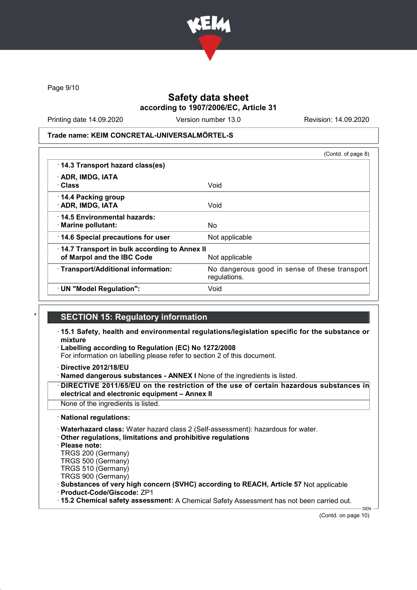

Page 9/10

### Safety data sheet according to 1907/2006/EC, Article 31

Printing date 14.09.2020 Version number 13.0 Revision: 14.09.2020

Trade name: KEIM CONCRETAL-UNIVERSALMÖRTEL-S

|                                                                            | (Contd. of page 8)                                            |
|----------------------------------------------------------------------------|---------------------------------------------------------------|
| 14.3 Transport hazard class(es)                                            |                                                               |
| · ADR, IMDG, IATA<br>· Class                                               | Void                                                          |
| 14.4 Packing group<br>· ADR, IMDG, IATA                                    | Void                                                          |
| 14.5 Environmental hazards:<br>· Marine pollutant:                         | No.                                                           |
| 14.6 Special precautions for user                                          | Not applicable                                                |
| 14.7 Transport in bulk according to Annex II<br>of Marpol and the IBC Code | Not applicable                                                |
| · Transport/Additional information:                                        | No dangerous good in sense of these transport<br>regulations. |
| · UN "Model Regulation":                                                   | Void                                                          |

### **SECTION 15: Regulatory information**

- · 15.1 Safety, health and environmental regulations/legislation specific for the substance or mixture
- Labelling according to Regulation (EC) No 1272/2008
- For information on labelling please refer to section 2 of this document.
- · Directive 2012/18/EU
- · Named dangerous substances ANNEX I None of the ingredients is listed.
- DIRECTIVE 2011/65/EU on the restriction of the use of certain hazardous substances in electrical and electronic equipment – Annex II
- None of the ingredients is listed.
- · National regulations:
- · Waterhazard class: Water hazard class 2 (Self-assessment): hazardous for water.
- · Other regulations, limitations and prohibitive regulations
- · Please note:
- TRGS 200 (Germany)
- TRGS 500 (Germany)
- TRGS 510 (Germany)
- TRGS 900 (Germany)
- · Substances of very high concern (SVHC) according to REACH, Article 57 Not applicable · Product-Code/Giscode: ZP1
- · 15.2 Chemical safety assessment: A Chemical Safety Assessment has not been carried out.

(Contd. on page 10)

DEN